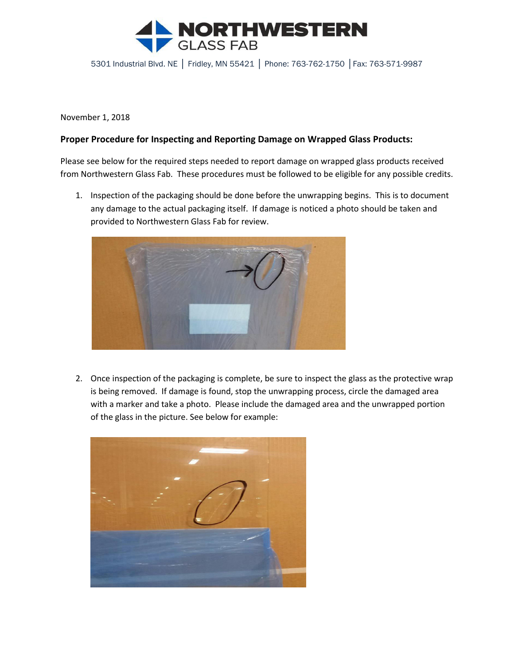

5301 Industrial Blvd. NE │ Fridley, MN 55421 │ Phone: 763-762-1750 │Fax: 763-571-9987

November 1, 2018

## **Proper Procedure for Inspecting and Reporting Damage on Wrapped Glass Products:**

Please see below for the required steps needed to report damage on wrapped glass products received from Northwestern Glass Fab. These procedures must be followed to be eligible for any possible credits.

1. Inspection of the packaging should be done before the unwrapping begins. This is to document any damage to the actual packaging itself. If damage is noticed a photo should be taken and provided to Northwestern Glass Fab for review.



2. Once inspection of the packaging is complete, be sure to inspect the glass as the protective wrap is being removed. If damage is found, stop the unwrapping process, circle the damaged area with a marker and take a photo. Please include the damaged area and the unwrapped portion of the glass in the picture. See below for example: